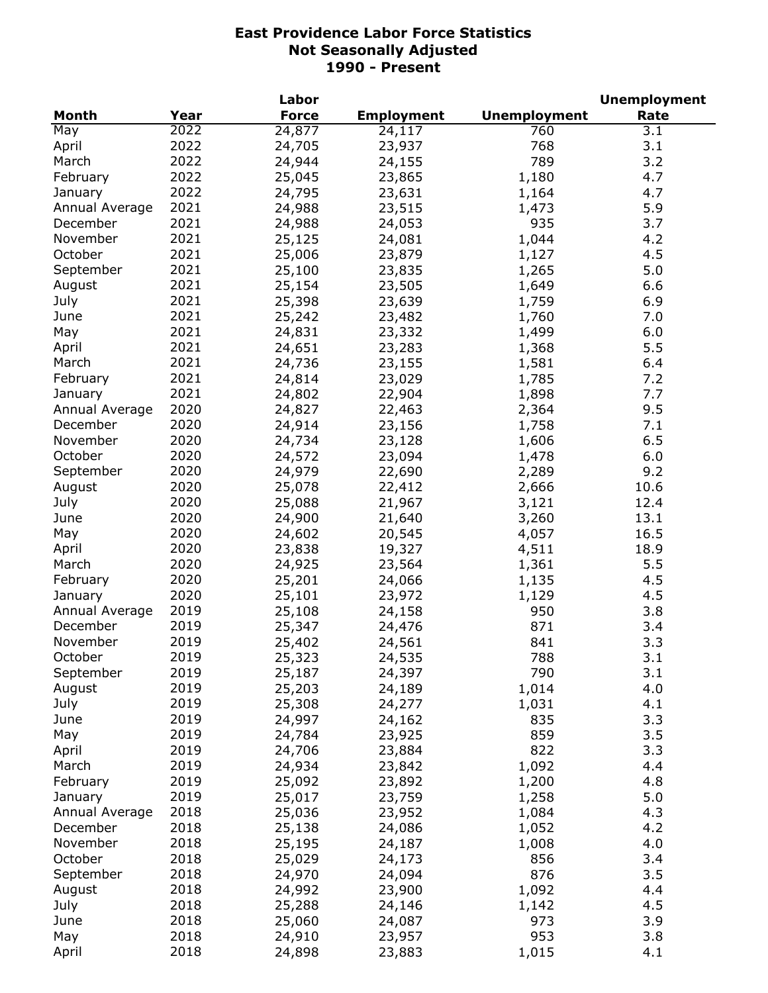|                |      | Labor        |                   |                     | <b>Unemployment</b> |
|----------------|------|--------------|-------------------|---------------------|---------------------|
| <b>Month</b>   | Year | <b>Force</b> | <b>Employment</b> | <b>Unemployment</b> | Rate                |
| May            | 2022 | 24,877       | 24,117            | 760                 | 3.1                 |
| April          | 2022 | 24,705       | 23,937            | 768                 | 3.1                 |
| March          | 2022 | 24,944       | 24,155            | 789                 | 3.2                 |
| February       | 2022 | 25,045       | 23,865            | 1,180               | 4.7                 |
| January        | 2022 | 24,795       | 23,631            | 1,164               | 4.7                 |
| Annual Average | 2021 | 24,988       | 23,515            | 1,473               | 5.9                 |
| December       | 2021 | 24,988       | 24,053            | 935                 | 3.7                 |
| November       | 2021 | 25,125       | 24,081            | 1,044               | 4.2                 |
| October        | 2021 | 25,006       | 23,879            | 1,127               | 4.5                 |
| September      | 2021 | 25,100       | 23,835            | 1,265               | 5.0                 |
| August         | 2021 | 25,154       | 23,505            | 1,649               | 6.6                 |
| July           | 2021 | 25,398       | 23,639            | 1,759               | 6.9                 |
| June           | 2021 | 25,242       | 23,482            | 1,760               | 7.0                 |
|                | 2021 | 24,831       |                   |                     | 6.0                 |
| May            | 2021 |              | 23,332            | 1,499               | 5.5                 |
| April          |      | 24,651       | 23,283            | 1,368               |                     |
| March          | 2021 | 24,736       | 23,155            | 1,581               | 6.4                 |
| February       | 2021 | 24,814       | 23,029            | 1,785               | 7.2                 |
| January        | 2021 | 24,802       | 22,904            | 1,898               | 7.7                 |
| Annual Average | 2020 | 24,827       | 22,463            | 2,364               | 9.5                 |
| December       | 2020 | 24,914       | 23,156            | 1,758               | 7.1                 |
| November       | 2020 | 24,734       | 23,128            | 1,606               | 6.5                 |
| October        | 2020 | 24,572       | 23,094            | 1,478               | 6.0                 |
| September      | 2020 | 24,979       | 22,690            | 2,289               | 9.2                 |
| August         | 2020 | 25,078       | 22,412            | 2,666               | 10.6                |
| July           | 2020 | 25,088       | 21,967            | 3,121               | 12.4                |
| June           | 2020 | 24,900       | 21,640            | 3,260               | 13.1                |
| May            | 2020 | 24,602       | 20,545            | 4,057               | 16.5                |
| April          | 2020 | 23,838       | 19,327            | 4,511               | 18.9                |
| March          | 2020 | 24,925       | 23,564            | 1,361               | 5.5                 |
| February       | 2020 | 25,201       | 24,066            | 1,135               | 4.5                 |
| January        | 2020 | 25,101       | 23,972            | 1,129               | 4.5                 |
| Annual Average | 2019 | 25,108       | 24,158            | 950                 | 3.8                 |
| December       | 2019 | 25,347       | 24,476            | 871                 | 3.4                 |
| November       | 2019 | 25,402       | 24,561            | 841                 | 3.3                 |
| October        | 2019 | 25,323       | 24,535            | 788                 | 3.1                 |
| September      | 2019 | 25,187       | 24,397            | 790                 | 3.1                 |
| August         | 2019 | 25,203       | 24,189            | 1,014               | 4.0                 |
| July           | 2019 | 25,308       | 24,277            | 1,031               | 4.1                 |
| June           | 2019 | 24,997       | 24,162            | 835                 | 3.3                 |
| May            | 2019 | 24,784       | 23,925            | 859                 | 3.5                 |
| April          | 2019 | 24,706       | 23,884            | 822                 | 3.3                 |
| March          | 2019 | 24,934       | 23,842            | 1,092               | 4.4                 |
| February       | 2019 | 25,092       | 23,892            | 1,200               | 4.8                 |
| January        | 2019 | 25,017       | 23,759            | 1,258               | 5.0                 |
| Annual Average | 2018 | 25,036       | 23,952            | 1,084               | 4.3                 |
| December       | 2018 | 25,138       | 24,086            | 1,052               | 4.2                 |
| November       | 2018 |              |                   |                     | 4.0                 |
|                |      | 25,195       | 24,187            | 1,008               |                     |
| October        | 2018 | 25,029       | 24,173            | 856                 | 3.4                 |
| September      | 2018 | 24,970       | 24,094            | 876                 | 3.5                 |
| August         | 2018 | 24,992       | 23,900            | 1,092               | 4.4                 |
| July           | 2018 | 25,288       | 24,146            | 1,142               | 4.5                 |
| June           | 2018 | 25,060       | 24,087            | 973                 | 3.9                 |
| May            | 2018 | 24,910       | 23,957            | 953                 | 3.8                 |
| April          | 2018 | 24,898       | 23,883            | 1,015               | 4.1                 |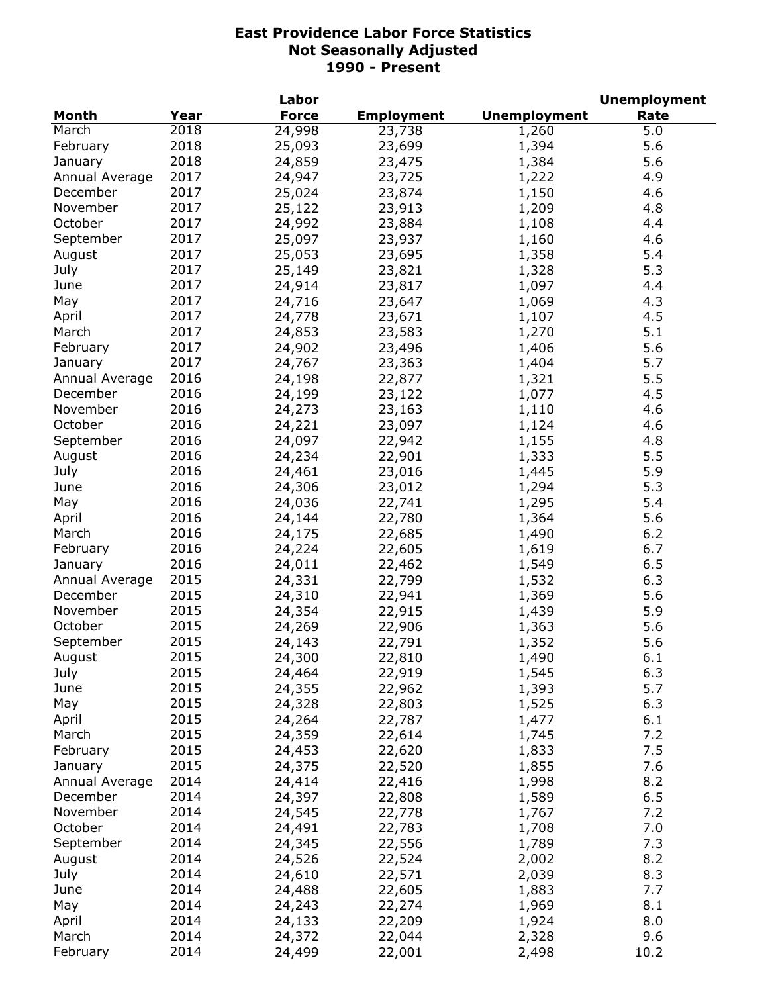|                |      | Labor        |                   |                     | <b>Unemployment</b> |
|----------------|------|--------------|-------------------|---------------------|---------------------|
| <b>Month</b>   | Year | <b>Force</b> | <b>Employment</b> | <b>Unemployment</b> | Rate                |
| March          | 2018 | 24,998       | 23,738            | 1,260               | 5.0                 |
| February       | 2018 | 25,093       | 23,699            | 1,394               | 5.6                 |
| January        | 2018 | 24,859       | 23,475            | 1,384               | 5.6                 |
| Annual Average | 2017 | 24,947       | 23,725            | 1,222               | 4.9                 |
| December       | 2017 | 25,024       | 23,874            | 1,150               | 4.6                 |
| November       | 2017 | 25,122       | 23,913            | 1,209               | 4.8                 |
| October        | 2017 | 24,992       | 23,884            | 1,108               | 4.4                 |
| September      | 2017 | 25,097       | 23,937            | 1,160               | 4.6                 |
| August         | 2017 | 25,053       | 23,695            | 1,358               | 5.4                 |
| July           | 2017 | 25,149       | 23,821            | 1,328               | 5.3                 |
| June           | 2017 | 24,914       | 23,817            | 1,097               | 4.4                 |
| May            | 2017 | 24,716       | 23,647            | 1,069               | 4.3                 |
| April          | 2017 | 24,778       | 23,671            | 1,107               | 4.5                 |
| March          | 2017 | 24,853       | 23,583            | 1,270               | 5.1                 |
| February       | 2017 | 24,902       | 23,496            | 1,406               | 5.6                 |
| January        | 2017 | 24,767       | 23,363            | 1,404               | 5.7                 |
| Annual Average | 2016 |              |                   |                     | 5.5                 |
|                | 2016 | 24,198       | 22,877            | 1,321               |                     |
| December       |      | 24,199       | 23,122            | 1,077               | 4.5                 |
| November       | 2016 | 24,273       | 23,163            | 1,110               | 4.6                 |
| October        | 2016 | 24,221       | 23,097            | 1,124               | 4.6                 |
| September      | 2016 | 24,097       | 22,942            | 1,155               | 4.8                 |
| August         | 2016 | 24,234       | 22,901            | 1,333               | 5.5                 |
| July           | 2016 | 24,461       | 23,016            | 1,445               | 5.9                 |
| June           | 2016 | 24,306       | 23,012            | 1,294               | 5.3                 |
| May            | 2016 | 24,036       | 22,741            | 1,295               | 5.4                 |
| April          | 2016 | 24,144       | 22,780            | 1,364               | 5.6                 |
| March          | 2016 | 24,175       | 22,685            | 1,490               | 6.2                 |
| February       | 2016 | 24,224       | 22,605            | 1,619               | 6.7                 |
| January        | 2016 | 24,011       | 22,462            | 1,549               | 6.5                 |
| Annual Average | 2015 | 24,331       | 22,799            | 1,532               | 6.3                 |
| December       | 2015 | 24,310       | 22,941            | 1,369               | 5.6                 |
| November       | 2015 | 24,354       | 22,915            | 1,439               | 5.9                 |
| October        | 2015 | 24,269       | 22,906            | 1,363               | 5.6                 |
| September      | 2015 | 24,143       | 22,791            | 1,352               | 5.6                 |
| August         | 2015 | 24,300       | 22,810            | 1,490               | 6.1                 |
| July           | 2015 | 24,464       | 22,919            | 1,545               | 6.3                 |
| June           | 2015 | 24,355       | 22,962            | 1,393               | 5.7                 |
| May            | 2015 | 24,328       | 22,803            | 1,525               | 6.3                 |
| April          | 2015 | 24,264       | 22,787            | 1,477               | 6.1                 |
| March          | 2015 | 24,359       | 22,614            | 1,745               | 7.2                 |
| February       | 2015 | 24,453       | 22,620            | 1,833               | 7.5                 |
| January        | 2015 | 24,375       | 22,520            | 1,855               | 7.6                 |
| Annual Average | 2014 | 24,414       | 22,416            | 1,998               | 8.2                 |
| December       | 2014 | 24,397       | 22,808            | 1,589               | 6.5                 |
| November       | 2014 | 24,545       | 22,778            | 1,767               | 7.2                 |
| October        | 2014 | 24,491       | 22,783            | 1,708               | 7.0                 |
| September      | 2014 | 24,345       | 22,556            | 1,789               | 7.3                 |
| August         | 2014 | 24,526       | 22,524            | 2,002               | 8.2                 |
| July           | 2014 | 24,610       | 22,571            | 2,039               | 8.3                 |
| June           | 2014 | 24,488       | 22,605            | 1,883               | 7.7                 |
| May            | 2014 | 24,243       | 22,274            | 1,969               | 8.1                 |
| April          | 2014 | 24,133       | 22,209            | 1,924               | 8.0                 |
| March          | 2014 | 24,372       | 22,044            | 2,328               | 9.6                 |
| February       | 2014 | 24,499       | 22,001            | 2,498               | 10.2                |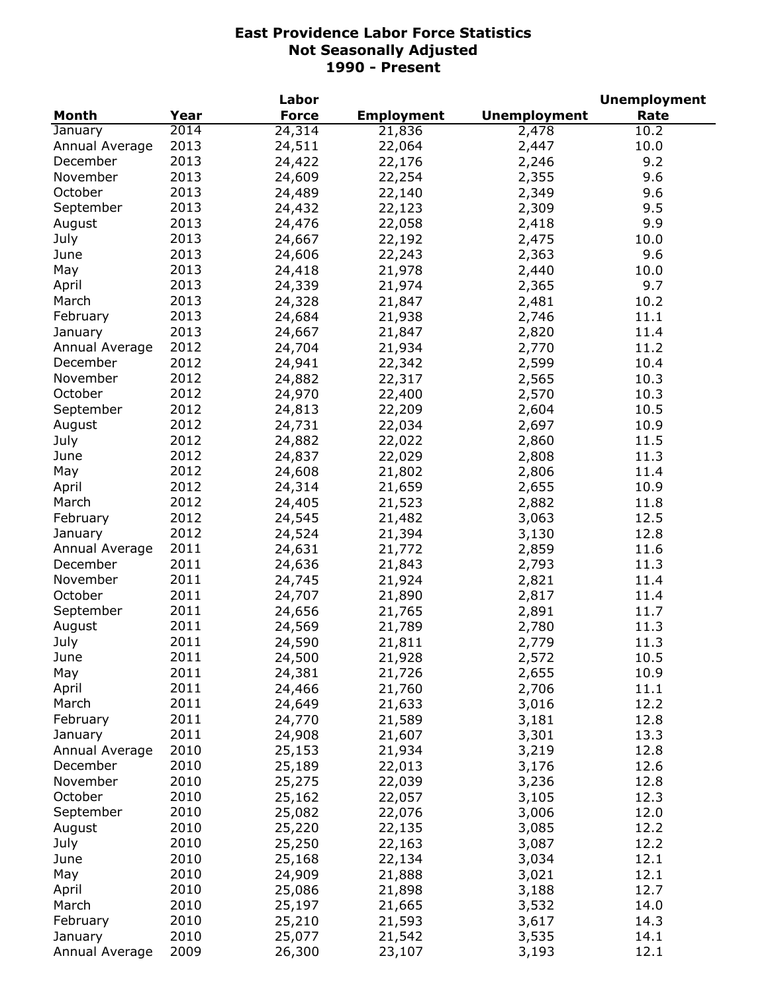|                |      | Labor        |                   |                     | <b>Unemployment</b> |
|----------------|------|--------------|-------------------|---------------------|---------------------|
| <b>Month</b>   | Year | <b>Force</b> | <b>Employment</b> | <b>Unemployment</b> | Rate                |
| January        | 2014 | 24,314       | 21,836            | 2,478               | 10.2                |
| Annual Average | 2013 | 24,511       | 22,064            | 2,447               | 10.0                |
| December       | 2013 | 24,422       | 22,176            | 2,246               | 9.2                 |
| November       | 2013 | 24,609       | 22,254            | 2,355               | 9.6                 |
| October        | 2013 | 24,489       | 22,140            | 2,349               | 9.6                 |
| September      | 2013 | 24,432       | 22,123            | 2,309               | 9.5                 |
| August         | 2013 | 24,476       | 22,058            | 2,418               | 9.9                 |
| July           | 2013 | 24,667       | 22,192            | 2,475               | 10.0                |
| June           | 2013 | 24,606       | 22,243            | 2,363               | 9.6                 |
| May            | 2013 | 24,418       | 21,978            | 2,440               | 10.0                |
| April          | 2013 | 24,339       | 21,974            | 2,365               | 9.7                 |
| March          | 2013 | 24,328       | 21,847            | 2,481               | 10.2                |
|                | 2013 |              |                   |                     | 11.1                |
| February       |      | 24,684       | 21,938            | 2,746               |                     |
| January        | 2013 | 24,667       | 21,847            | 2,820               | 11.4                |
| Annual Average | 2012 | 24,704       | 21,934            | 2,770               | 11.2                |
| December       | 2012 | 24,941       | 22,342            | 2,599               | 10.4                |
| November       | 2012 | 24,882       | 22,317            | 2,565               | 10.3                |
| October        | 2012 | 24,970       | 22,400            | 2,570               | 10.3                |
| September      | 2012 | 24,813       | 22,209            | 2,604               | 10.5                |
| August         | 2012 | 24,731       | 22,034            | 2,697               | 10.9                |
| July           | 2012 | 24,882       | 22,022            | 2,860               | 11.5                |
| June           | 2012 | 24,837       | 22,029            | 2,808               | 11.3                |
| May            | 2012 | 24,608       | 21,802            | 2,806               | 11.4                |
| April          | 2012 | 24,314       | 21,659            | 2,655               | 10.9                |
| March          | 2012 | 24,405       | 21,523            | 2,882               | 11.8                |
| February       | 2012 | 24,545       | 21,482            | 3,063               | 12.5                |
| January        | 2012 | 24,524       | 21,394            | 3,130               | 12.8                |
| Annual Average | 2011 | 24,631       | 21,772            | 2,859               | 11.6                |
| December       | 2011 | 24,636       | 21,843            | 2,793               | 11.3                |
| November       | 2011 | 24,745       | 21,924            | 2,821               | 11.4                |
| October        | 2011 | 24,707       | 21,890            | 2,817               | 11.4                |
| September      | 2011 | 24,656       | 21,765            | 2,891               | 11.7                |
| August         | 2011 | 24,569       | 21,789            | 2,780               | 11.3                |
| July           | 2011 | 24,590       | 21,811            | 2,779               | 11.3                |
| June           | 2011 | 24,500       | 21,928            | 2,572               | 10.5                |
| May            | 2011 | 24,381       | 21,726            | 2,655               | 10.9                |
| April          | 2011 | 24,466       | 21,760            | 2,706               | 11.1                |
| March          | 2011 | 24,649       | 21,633            | 3,016               | 12.2                |
| February       | 2011 | 24,770       | 21,589            | 3,181               | 12.8                |
| January        | 2011 |              | 21,607            | 3,301               | 13.3                |
|                | 2010 | 24,908       |                   |                     |                     |
| Annual Average |      | 25,153       | 21,934            | 3,219               | 12.8                |
| December       | 2010 | 25,189       | 22,013            | 3,176               | 12.6                |
| November       | 2010 | 25,275       | 22,039            | 3,236               | 12.8                |
| October        | 2010 | 25,162       | 22,057            | 3,105               | 12.3                |
| September      | 2010 | 25,082       | 22,076            | 3,006               | 12.0                |
| August         | 2010 | 25,220       | 22,135            | 3,085               | 12.2                |
| July           | 2010 | 25,250       | 22,163            | 3,087               | 12.2                |
| June           | 2010 | 25,168       | 22,134            | 3,034               | 12.1                |
| May            | 2010 | 24,909       | 21,888            | 3,021               | 12.1                |
| April          | 2010 | 25,086       | 21,898            | 3,188               | 12.7                |
| March          | 2010 | 25,197       | 21,665            | 3,532               | 14.0                |
| February       | 2010 | 25,210       | 21,593            | 3,617               | 14.3                |
| January        | 2010 | 25,077       | 21,542            | 3,535               | 14.1                |
| Annual Average | 2009 | 26,300       | 23,107            | 3,193               | 12.1                |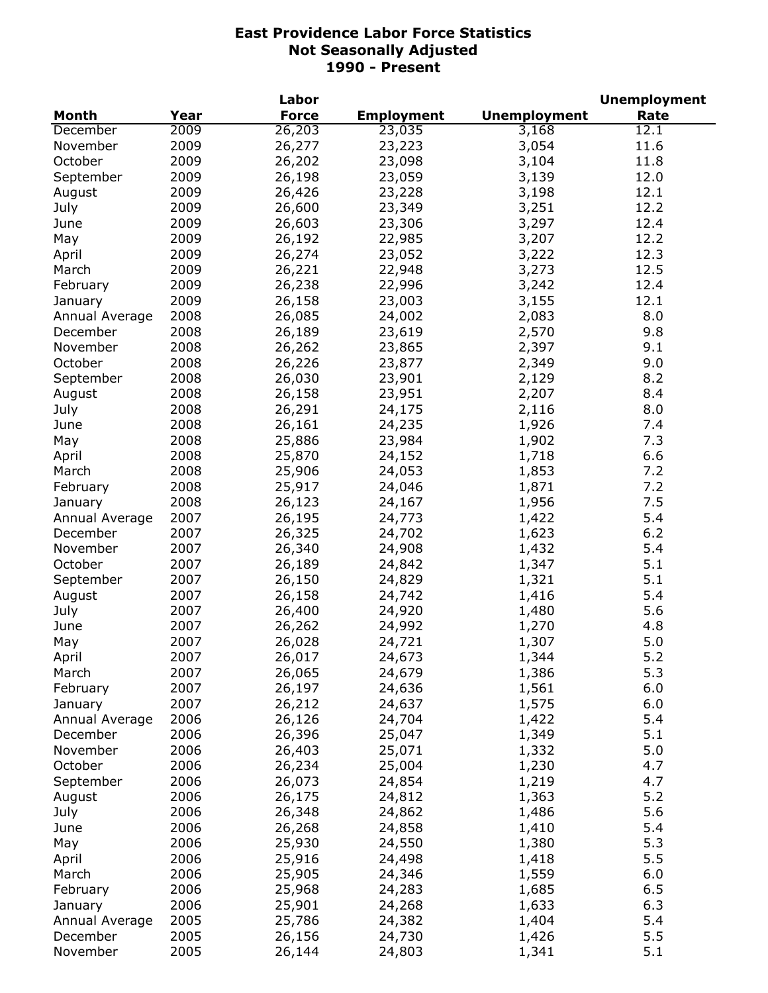|                      |      | Labor            |                   |                     | <b>Unemployment</b> |
|----------------------|------|------------------|-------------------|---------------------|---------------------|
| <b>Month</b>         | Year | <b>Force</b>     | <b>Employment</b> | <b>Unemployment</b> | Rate                |
| December             | 2009 | 26,203           | 23,035            | 3,168               | 12.1                |
| November             | 2009 | 26,277           | 23,223            | 3,054               | 11.6                |
| October              | 2009 | 26,202           | 23,098            | 3,104               | 11.8                |
| September            | 2009 | 26,198           | 23,059            | 3,139               | 12.0                |
| August               | 2009 | 26,426           | 23,228            | 3,198               | 12.1                |
| July                 | 2009 | 26,600           | 23,349            | 3,251               | 12.2                |
| June                 | 2009 | 26,603           | 23,306            | 3,297               | 12.4                |
| May                  | 2009 | 26,192           | 22,985            | 3,207               | 12.2                |
| April                | 2009 | 26,274           | 23,052            | 3,222               | 12.3                |
| March                | 2009 | 26,221           | 22,948            | 3,273               | 12.5                |
| February             | 2009 | 26,238           | 22,996            | 3,242               | 12.4                |
| January              | 2009 | 26,158           | 23,003            | 3,155               | 12.1                |
| Annual Average       | 2008 | 26,085           | 24,002            | 2,083               | 8.0                 |
|                      | 2008 | 26,189           | 23,619            | 2,570               | 9.8                 |
| December<br>November | 2008 | 26,262           |                   |                     | 9.1                 |
|                      |      |                  | 23,865            | 2,397               |                     |
| October              | 2008 | 26,226           | 23,877            | 2,349               | 9.0                 |
| September            | 2008 | 26,030           | 23,901            | 2,129               | 8.2                 |
| August               | 2008 | 26,158           | 23,951            | 2,207               | 8.4                 |
| July                 | 2008 | 26,291           | 24,175            | 2,116               | 8.0                 |
| June                 | 2008 | 26,161           | 24,235            | 1,926               | 7.4                 |
| May                  | 2008 | 25,886           | 23,984            | 1,902               | 7.3                 |
| April                | 2008 | 25,870           | 24,152            | 1,718               | 6.6                 |
| March                | 2008 | 25,906           | 24,053            | 1,853               | 7.2                 |
| February             | 2008 | 25,917           | 24,046            | 1,871               | 7.2                 |
| January              | 2008 | 26,123           | 24,167            | 1,956               | 7.5                 |
| Annual Average       | 2007 | 26,195           | 24,773            | 1,422               | 5.4                 |
| December             | 2007 | 26,325           | 24,702            | 1,623               | $6.2$               |
| November             | 2007 | 26,340           | 24,908            | 1,432               | 5.4                 |
| October              | 2007 | 26,189           | 24,842            | 1,347               | 5.1                 |
| September            | 2007 | 26,150           | 24,829            | 1,321               | 5.1                 |
| August               | 2007 | 26,158           | 24,742            | 1,416               | 5.4                 |
| July                 | 2007 | 26,400           | 24,920            | 1,480               | 5.6                 |
| June                 | 2007 | 26,262           | 24,992            | 1,270               | 4.8                 |
| May                  | 2007 | 26,028           | 24,721            | 1,307               | 5.0                 |
| April                | 2007 | 26,017           | 24,673            | 1,344               | 5.2                 |
| March                | 2007 | 26,065           | 24,679            | 1,386               | 5.3                 |
| February             | 2007 | 26,197           | 24,636            | 1,561               | 6.0                 |
| January              | 2007 | 26,212           | 24,637            | 1,575               | 6.0                 |
| Annual Average       | 2006 | 26,126           | 24,704            | 1,422               | 5.4                 |
| December             | 2006 | 26,396           | 25,047            | 1,349               | 5.1                 |
| November             | 2006 | 26,403           | 25,071            | 1,332               | 5.0                 |
| October              | 2006 | 26,234           | 25,004            | 1,230               | 4.7                 |
|                      | 2006 |                  |                   |                     | 4.7                 |
| September            |      | 26,073<br>26,175 | 24,854            | 1,219               | 5.2                 |
| August               | 2006 |                  | 24,812            | 1,363               |                     |
| July                 | 2006 | 26,348           | 24,862            | 1,486               | 5.6                 |
| June                 | 2006 | 26,268           | 24,858            | 1,410               | 5.4                 |
| May                  | 2006 | 25,930           | 24,550            | 1,380               | 5.3                 |
| April                | 2006 | 25,916           | 24,498            | 1,418               | 5.5                 |
| March                | 2006 | 25,905           | 24,346            | 1,559               | 6.0                 |
| February             | 2006 | 25,968           | 24,283            | 1,685               | 6.5                 |
| January              | 2006 | 25,901           | 24,268            | 1,633               | 6.3                 |
| Annual Average       | 2005 | 25,786           | 24,382            | 1,404               | 5.4                 |
| December             | 2005 | 26,156           | 24,730            | 1,426               | 5.5                 |
| November             | 2005 | 26,144           | 24,803            | 1,341               | 5.1                 |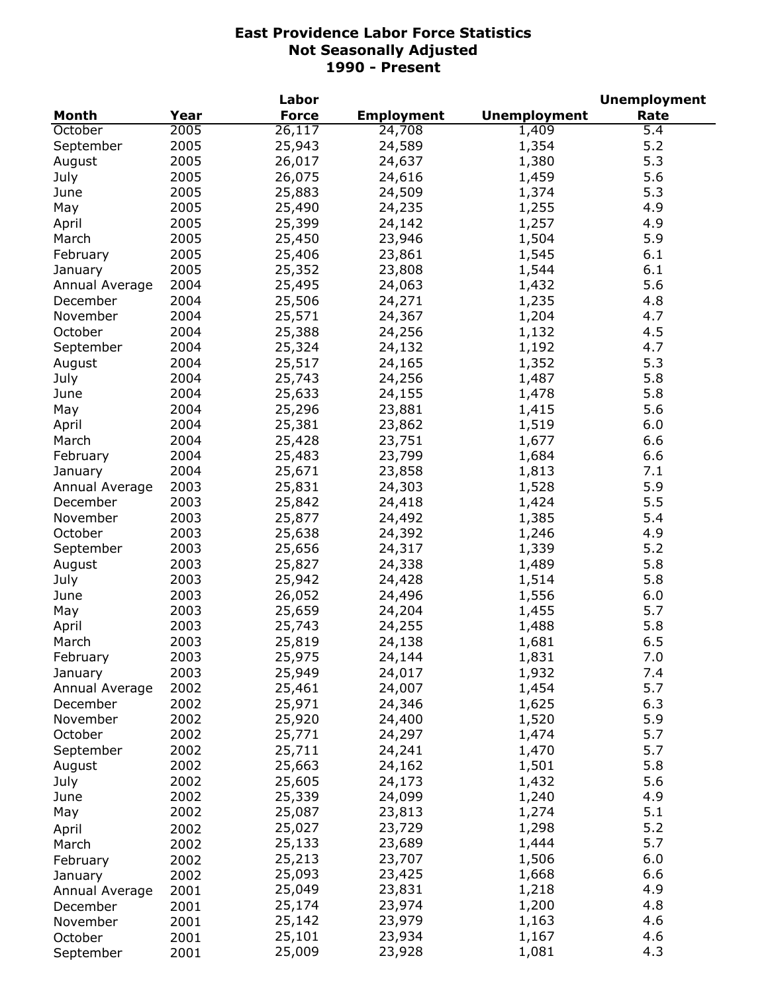|                |      | Labor        |                   |                     | <b>Unemployment</b> |
|----------------|------|--------------|-------------------|---------------------|---------------------|
| <b>Month</b>   | Year | <b>Force</b> | <b>Employment</b> | <b>Unemployment</b> | Rate                |
| October        | 2005 | 26,117       | 24,708            | 1,409               | $\overline{5.4}$    |
| September      | 2005 | 25,943       | 24,589            | 1,354               | 5.2                 |
| August         | 2005 | 26,017       | 24,637            | 1,380               | 5.3                 |
| July           | 2005 | 26,075       | 24,616            | 1,459               | 5.6                 |
| June           | 2005 | 25,883       | 24,509            | 1,374               | 5.3                 |
| May            | 2005 | 25,490       | 24,235            | 1,255               | 4.9                 |
| April          | 2005 | 25,399       | 24,142            | 1,257               | 4.9                 |
| March          | 2005 | 25,450       | 23,946            | 1,504               | 5.9                 |
| February       | 2005 | 25,406       | 23,861            | 1,545               | 6.1                 |
| January        | 2005 | 25,352       | 23,808            | 1,544               | 6.1                 |
| Annual Average | 2004 | 25,495       | 24,063            | 1,432               | 5.6                 |
| December       | 2004 | 25,506       | 24,271            | 1,235               | 4.8                 |
| November       | 2004 | 25,571       | 24,367            | 1,204               | 4.7                 |
| October        | 2004 | 25,388       | 24,256            | 1,132               | 4.5                 |
| September      | 2004 | 25,324       | 24,132            | 1,192               | 4.7                 |
| August         | 2004 | 25,517       | 24,165            | 1,352               | 5.3                 |
| July           | 2004 | 25,743       | 24,256            | 1,487               | 5.8                 |
| June           | 2004 | 25,633       | 24,155            | 1,478               | 5.8                 |
|                |      |              |                   |                     |                     |
| May            | 2004 | 25,296       | 23,881            | 1,415               | 5.6                 |
| April          | 2004 | 25,381       | 23,862            | 1,519               | 6.0                 |
| March          | 2004 | 25,428       | 23,751            | 1,677               | 6.6                 |
| February       | 2004 | 25,483       | 23,799            | 1,684               | 6.6                 |
| January        | 2004 | 25,671       | 23,858            | 1,813               | 7.1                 |
| Annual Average | 2003 | 25,831       | 24,303            | 1,528               | 5.9                 |
| December       | 2003 | 25,842       | 24,418            | 1,424               | 5.5                 |
| November       | 2003 | 25,877       | 24,492            | 1,385               | 5.4                 |
| October        | 2003 | 25,638       | 24,392            | 1,246               | 4.9                 |
| September      | 2003 | 25,656       | 24,317            | 1,339               | 5.2                 |
| August         | 2003 | 25,827       | 24,338            | 1,489               | 5.8                 |
| July           | 2003 | 25,942       | 24,428            | 1,514               | 5.8                 |
| June           | 2003 | 26,052       | 24,496            | 1,556               | 6.0                 |
| May            | 2003 | 25,659       | 24,204            | 1,455               | 5.7                 |
| April          | 2003 | 25,743       | 24,255            | 1,488               | 5.8                 |
| March          | 2003 | 25,819       | 24,138            | 1,681               | 6.5                 |
| February       | 2003 | 25,975       | 24,144            | 1,831               | 7.0                 |
| January        | 2003 | 25,949       | 24,017            | 1,932               | 7.4                 |
| Annual Average | 2002 | 25,461       | 24,007            | 1,454               | 5.7                 |
| December       | 2002 | 25,971       | 24,346            | 1,625               | 6.3                 |
| November       | 2002 | 25,920       | 24,400            | 1,520               | 5.9                 |
| October        | 2002 | 25,771       | 24,297            | 1,474               | 5.7                 |
| September      | 2002 | 25,711       | 24,241            | 1,470               | 5.7                 |
| August         | 2002 | 25,663       | 24,162            | 1,501               | 5.8                 |
| July           | 2002 | 25,605       | 24,173            | 1,432               | 5.6                 |
| June           | 2002 | 25,339       | 24,099            | 1,240               | 4.9                 |
| May            | 2002 | 25,087       | 23,813            | 1,274               | 5.1                 |
| April          | 2002 | 25,027       | 23,729            | 1,298               | 5.2                 |
| March          | 2002 | 25,133       | 23,689            | 1,444               | 5.7                 |
| February       | 2002 | 25,213       | 23,707            | 1,506               | 6.0                 |
| January        | 2002 | 25,093       | 23,425            | 1,668               | 6.6                 |
| Annual Average | 2001 | 25,049       | 23,831            | 1,218               | 4.9                 |
| December       | 2001 | 25,174       | 23,974            | 1,200               | 4.8                 |
| November       | 2001 | 25,142       | 23,979            | 1,163               | 4.6                 |
| October        | 2001 | 25,101       | 23,934            | 1,167               | 4.6                 |
| September      | 2001 | 25,009       | 23,928            | 1,081               | 4.3                 |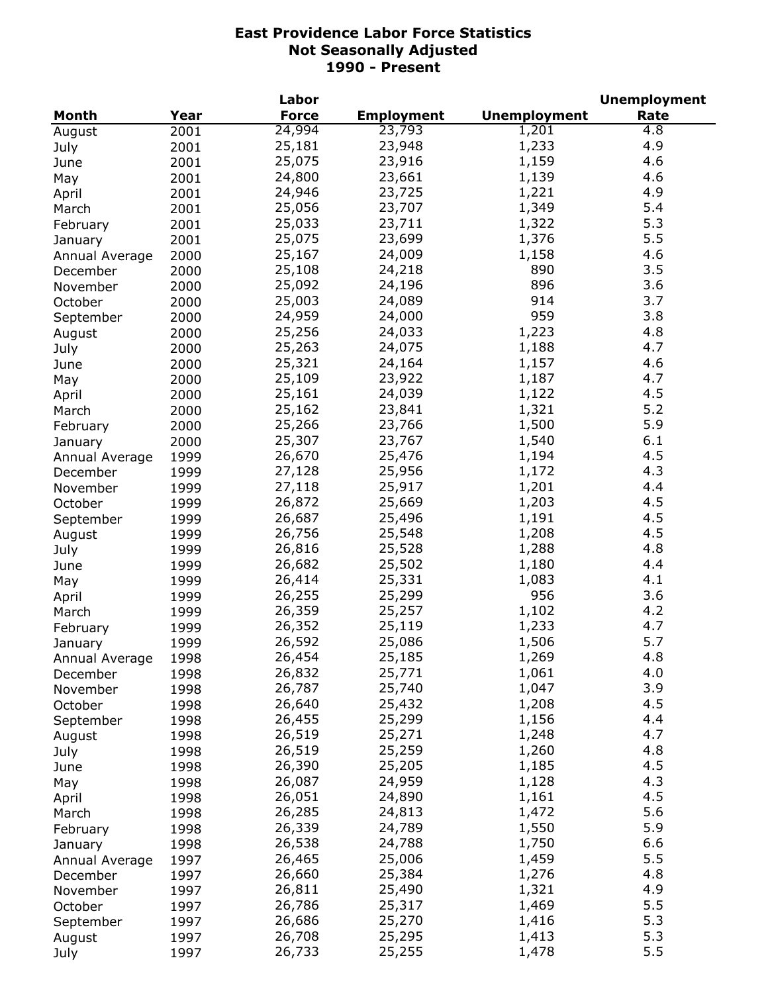|                |      | Labor        |                   |                     | <b>Unemployment</b> |
|----------------|------|--------------|-------------------|---------------------|---------------------|
| <b>Month</b>   | Year | <b>Force</b> | <b>Employment</b> | <b>Unemployment</b> | Rate                |
| August         | 2001 | 24,994       | 23,793            | 1,201               | 4.8                 |
| July           | 2001 | 25,181       | 23,948            | 1,233               | 4.9                 |
| June           | 2001 | 25,075       | 23,916            | 1,159               | 4.6                 |
| May            | 2001 | 24,800       | 23,661            | 1,139               | 4.6                 |
| April          | 2001 | 24,946       | 23,725            | 1,221               | 4.9                 |
| March          | 2001 | 25,056       | 23,707            | 1,349               | 5.4                 |
| February       | 2001 | 25,033       | 23,711            | 1,322               | 5.3                 |
| January        | 2001 | 25,075       | 23,699            | 1,376               | 5.5                 |
| Annual Average | 2000 | 25,167       | 24,009            | 1,158               | 4.6                 |
|                | 2000 | 25,108       | 24,218            | 890                 | 3.5                 |
| December       |      | 25,092       | 24,196            | 896                 | 3.6                 |
| November       | 2000 | 25,003       | 24,089            | 914                 | 3.7                 |
| October        | 2000 |              |                   | 959                 |                     |
| September      | 2000 | 24,959       | 24,000            |                     | 3.8                 |
| August         | 2000 | 25,256       | 24,033            | 1,223               | 4.8                 |
| July           | 2000 | 25,263       | 24,075            | 1,188               | 4.7                 |
| June           | 2000 | 25,321       | 24,164            | 1,157               | 4.6                 |
| May            | 2000 | 25,109       | 23,922            | 1,187               | 4.7                 |
| April          | 2000 | 25,161       | 24,039            | 1,122               | 4.5                 |
| March          | 2000 | 25,162       | 23,841            | 1,321               | 5.2                 |
| February       | 2000 | 25,266       | 23,766            | 1,500               | 5.9                 |
| January        | 2000 | 25,307       | 23,767            | 1,540               | 6.1                 |
| Annual Average | 1999 | 26,670       | 25,476            | 1,194               | 4.5                 |
| December       | 1999 | 27,128       | 25,956            | 1,172               | 4.3                 |
| November       | 1999 | 27,118       | 25,917            | 1,201               | 4.4                 |
| October        | 1999 | 26,872       | 25,669            | 1,203               | 4.5                 |
| September      | 1999 | 26,687       | 25,496            | 1,191               | 4.5                 |
| August         | 1999 | 26,756       | 25,548            | 1,208               | 4.5                 |
| July           | 1999 | 26,816       | 25,528            | 1,288               | 4.8                 |
| June           | 1999 | 26,682       | 25,502            | 1,180               | 4.4                 |
| May            | 1999 | 26,414       | 25,331            | 1,083               | 4.1                 |
| April          | 1999 | 26,255       | 25,299            | 956                 | 3.6                 |
| March          | 1999 | 26,359       | 25,257            | 1,102               | 4.2                 |
| February       | 1999 | 26,352       | 25,119            | 1,233               | 4.7                 |
| January        | 1999 | 26,592       | 25,086            | 1,506               | 5.7                 |
| Annual Average | 1998 | 26,454       | 25,185            | 1,269               | 4.8                 |
| December       | 1998 | 26,832       | 25,771            | 1,061               | 4.0                 |
| November       | 1998 | 26,787       | 25,740            | 1,047               | 3.9                 |
| October        | 1998 | 26,640       | 25,432            | 1,208               | 4.5                 |
| September      | 1998 | 26,455       | 25,299            | 1,156               | 4.4                 |
| August         | 1998 | 26,519       | 25,271            | 1,248               | 4.7                 |
| July           | 1998 | 26,519       | 25,259            | 1,260               | 4.8                 |
| June           | 1998 | 26,390       | 25,205            | 1,185               | 4.5                 |
| May            | 1998 | 26,087       | 24,959            | 1,128               | 4.3                 |
| April          | 1998 | 26,051       | 24,890            | 1,161               | 4.5                 |
| March          | 1998 | 26,285       | 24,813            | 1,472               | 5.6                 |
|                |      | 26,339       | 24,789            | 1,550               | 5.9                 |
| February       | 1998 | 26,538       | 24,788            | 1,750               | 6.6                 |
| January        | 1998 | 26,465       | 25,006            | 1,459               | 5.5                 |
| Annual Average | 1997 |              |                   |                     |                     |
| December       | 1997 | 26,660       | 25,384            | 1,276               | 4.8                 |
| November       | 1997 | 26,811       | 25,490            | 1,321               | 4.9                 |
| October        | 1997 | 26,786       | 25,317            | 1,469               | 5.5                 |
| September      | 1997 | 26,686       | 25,270            | 1,416               | 5.3                 |
| August         | 1997 | 26,708       | 25,295            | 1,413               | 5.3                 |
| July           | 1997 | 26,733       | 25,255            | 1,478               | 5.5                 |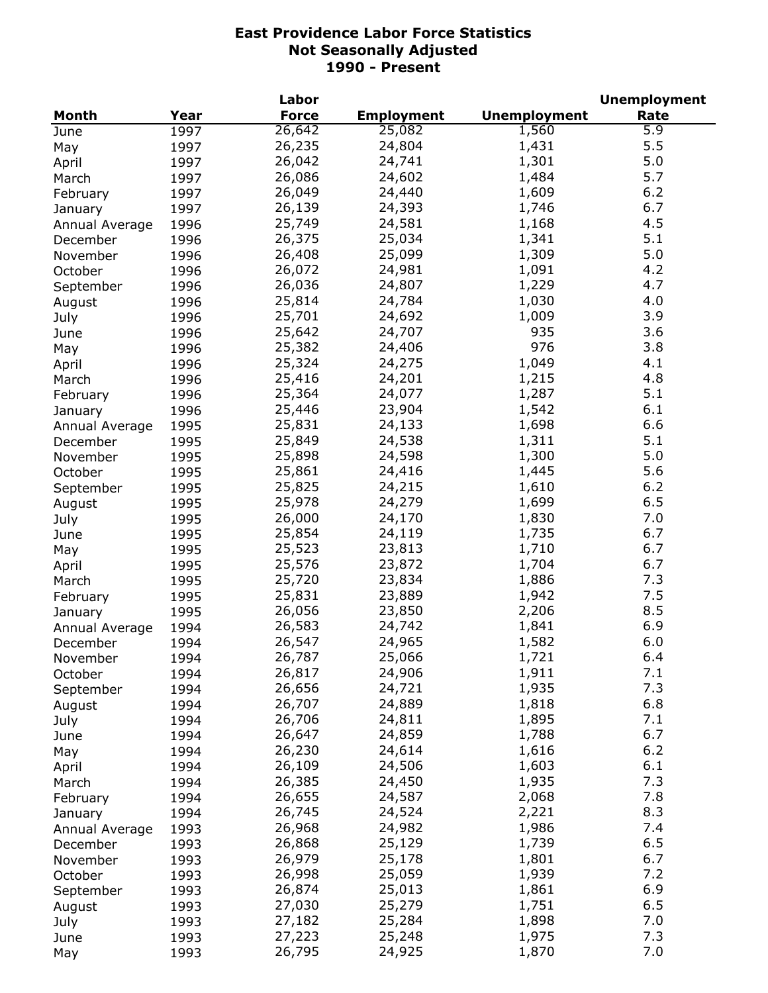|                |      | Labor        |                   |                     | <b>Unemployment</b> |
|----------------|------|--------------|-------------------|---------------------|---------------------|
| Month          | Year | <b>Force</b> | <b>Employment</b> | <b>Unemployment</b> | Rate                |
| June           | 1997 | 26,642       | 25,082            | 1,560               | 5.9                 |
| May            | 1997 | 26,235       | 24,804            | 1,431               | 5.5                 |
| April          | 1997 | 26,042       | 24,741            | 1,301               | 5.0                 |
| March          | 1997 | 26,086       | 24,602            | 1,484               | 5.7                 |
| February       | 1997 | 26,049       | 24,440            | 1,609               | 6.2                 |
| January        | 1997 | 26,139       | 24,393            | 1,746               | 6.7                 |
| Annual Average | 1996 | 25,749       | 24,581            | 1,168               | 4.5                 |
| December       | 1996 | 26,375       | 25,034            | 1,341               | 5.1                 |
| November       | 1996 | 26,408       | 25,099            | 1,309               | 5.0                 |
| October        | 1996 | 26,072       | 24,981            | 1,091               | 4.2                 |
| September      | 1996 | 26,036       | 24,807            | 1,229               | 4.7                 |
| August         | 1996 | 25,814       | 24,784            | 1,030               | 4.0                 |
| July           | 1996 | 25,701       | 24,692            | 1,009               | 3.9                 |
| June           | 1996 | 25,642       | 24,707            | 935                 | 3.6                 |
| May            | 1996 | 25,382       | 24,406            | 976                 | 3.8                 |
|                | 1996 | 25,324       | 24,275            | 1,049               | 4.1                 |
| April<br>March | 1996 | 25,416       | 24,201            | 1,215               | 4.8                 |
|                |      | 25,364       | 24,077            | 1,287               | 5.1                 |
| February       | 1996 |              |                   |                     |                     |
| January        | 1996 | 25,446       | 23,904            | 1,542               | 6.1                 |
| Annual Average | 1995 | 25,831       | 24,133            | 1,698               | 6.6                 |
| December       | 1995 | 25,849       | 24,538            | 1,311               | 5.1                 |
| November       | 1995 | 25,898       | 24,598            | 1,300               | 5.0                 |
| October        | 1995 | 25,861       | 24,416            | 1,445               | 5.6                 |
| September      | 1995 | 25,825       | 24,215            | 1,610               | 6.2                 |
| August         | 1995 | 25,978       | 24,279            | 1,699               | 6.5                 |
| July           | 1995 | 26,000       | 24,170            | 1,830               | 7.0                 |
| June           | 1995 | 25,854       | 24,119            | 1,735               | 6.7                 |
| May            | 1995 | 25,523       | 23,813            | 1,710               | 6.7                 |
| April          | 1995 | 25,576       | 23,872            | 1,704               | 6.7                 |
| March          | 1995 | 25,720       | 23,834            | 1,886               | 7.3                 |
| February       | 1995 | 25,831       | 23,889            | 1,942               | 7.5                 |
| January        | 1995 | 26,056       | 23,850            | 2,206               | 8.5                 |
| Annual Average | 1994 | 26,583       | 24,742            | 1,841               | 6.9                 |
| December       | 1994 | 26,547       | 24,965            | 1,582               | 6.0                 |
| November       | 1994 | 26,787       | 25,066            | 1,721               | 6.4                 |
| October        | 1994 | 26,817       | 24,906            | 1,911               | 7.1                 |
| September      | 1994 | 26,656       | 24,721            | 1,935               | 7.3                 |
| August         | 1994 | 26,707       | 24,889            | 1,818               | 6.8                 |
| July           | 1994 | 26,706       | 24,811            | 1,895               | 7.1                 |
| June           | 1994 | 26,647       | 24,859            | 1,788               | 6.7                 |
| May            | 1994 | 26,230       | 24,614            | 1,616               | $6.2$               |
| April          | 1994 | 26,109       | 24,506            | 1,603               | 6.1                 |
| March          | 1994 | 26,385       | 24,450            | 1,935               | 7.3                 |
| February       | 1994 | 26,655       | 24,587            | 2,068               | 7.8                 |
| January        | 1994 | 26,745       | 24,524            | 2,221               | 8.3                 |
| Annual Average | 1993 | 26,968       | 24,982            | 1,986               | 7.4                 |
| December       | 1993 | 26,868       | 25,129            | 1,739               | 6.5                 |
| November       | 1993 | 26,979       | 25,178            | 1,801               | 6.7                 |
| October        | 1993 | 26,998       | 25,059            | 1,939               | 7.2                 |
| September      | 1993 | 26,874       | 25,013            | 1,861               | 6.9                 |
| August         | 1993 | 27,030       | 25,279            | 1,751               | 6.5                 |
| July           | 1993 | 27,182       | 25,284            | 1,898               | 7.0                 |
| June           | 1993 | 27,223       | 25,248            | 1,975               | 7.3                 |
| May            | 1993 | 26,795       | 24,925            | 1,870               | 7.0                 |
|                |      |              |                   |                     |                     |